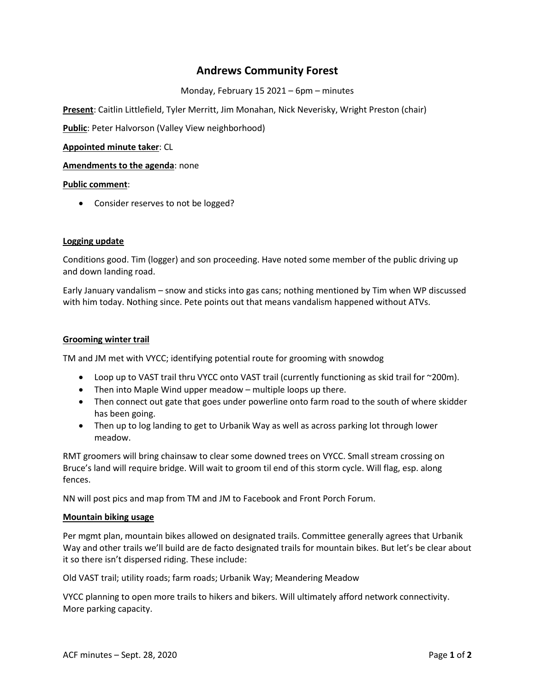# **Andrews Community Forest**

Monday, February 15 2021 – 6pm – minutes

**Present**: Caitlin Littlefield, Tyler Merritt, Jim Monahan, Nick Neverisky, Wright Preston (chair)

**Public**: Peter Halvorson (Valley View neighborhood)

**Appointed minute taker**: CL

**Amendments to the agenda**: none

#### **Public comment**:

• Consider reserves to not be logged?

## **Logging update**

Conditions good. Tim (logger) and son proceeding. Have noted some member of the public driving up and down landing road.

Early January vandalism – snow and sticks into gas cans; nothing mentioned by Tim when WP discussed with him today. Nothing since. Pete points out that means vandalism happened without ATVs.

#### **Grooming winter trail**

TM and JM met with VYCC; identifying potential route for grooming with snowdog

- Loop up to VAST trail thru VYCC onto VAST trail (currently functioning as skid trail for  $\sim$ 200m).
- Then into Maple Wind upper meadow multiple loops up there.
- Then connect out gate that goes under powerline onto farm road to the south of where skidder has been going.
- Then up to log landing to get to Urbanik Way as well as across parking lot through lower meadow.

RMT groomers will bring chainsaw to clear some downed trees on VYCC. Small stream crossing on Bruce's land will require bridge. Will wait to groom til end of this storm cycle. Will flag, esp. along fences.

NN will post pics and map from TM and JM to Facebook and Front Porch Forum.

#### **Mountain biking usage**

Per mgmt plan, mountain bikes allowed on designated trails. Committee generally agrees that Urbanik Way and other trails we'll build are de facto designated trails for mountain bikes. But let's be clear about it so there isn't dispersed riding. These include:

Old VAST trail; utility roads; farm roads; Urbanik Way; Meandering Meadow

VYCC planning to open more trails to hikers and bikers. Will ultimately afford network connectivity. More parking capacity.